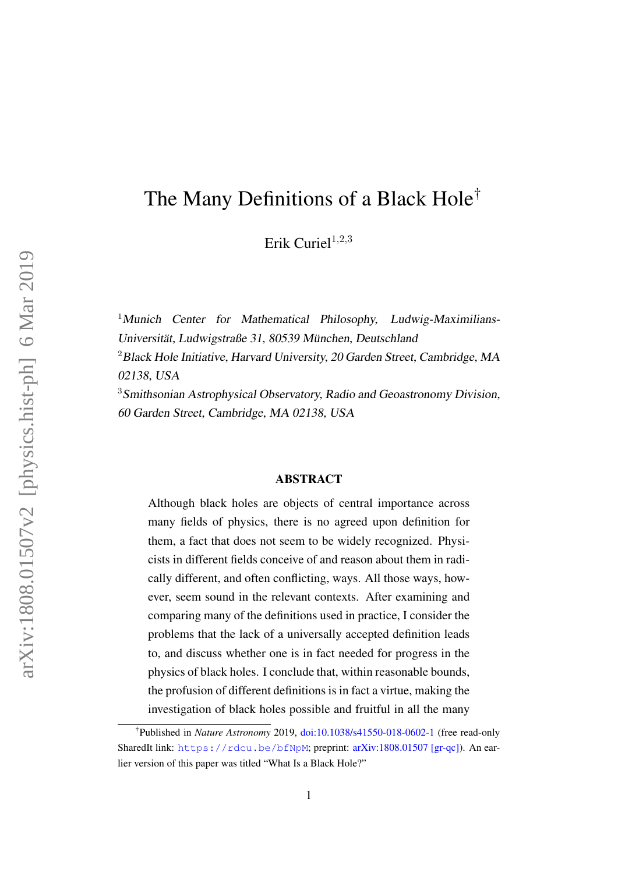# The Many Definitions of a Black Hole†

Erik Curiel $1,2,3$ 

<sup>1</sup>Munich Center for Mathematical Philosophy, Ludwig-Maximilians-Universität, Ludwigstraße 31, 80539 München, Deutschland

<sup>2</sup>Black Hole Initiative, Harvard University, 20 Garden Street, Cambridge, MA 02138, USA

<sup>3</sup> Smithsonian Astrophysical Observatory, Radio and Geoastronomy Division, 60 Garden Street, Cambridge, MA 02138, USA

#### ABSTRACT

Although black holes are objects of central importance across many fields of physics, there is no agreed upon definition for them, a fact that does not seem to be widely recognized. Physicists in different fields conceive of and reason about them in radically different, and often conflicting, ways. All those ways, however, seem sound in the relevant contexts. After examining and comparing many of the definitions used in practice, I consider the problems that the lack of a universally accepted definition leads to, and discuss whether one is in fact needed for progress in the physics of black holes. I conclude that, within reasonable bounds, the profusion of different definitions is in fact a virtue, making the investigation of black holes possible and fruitful in all the many

<sup>†</sup>Published in *Nature Astronomy* 2019, [doi:10.1038/s41550-018-0602-1](http://dx.doi.org/10.1038/s41550-018-0602-1) (free read-only SharedIt link: <https://rdcu.be/bfNpM>; preprint: [arXiv:1808.01507 \[gr-qc\]\)](http://arxiv.org/abs/1808.01507). An earlier version of this paper was titled "What Is a Black Hole?"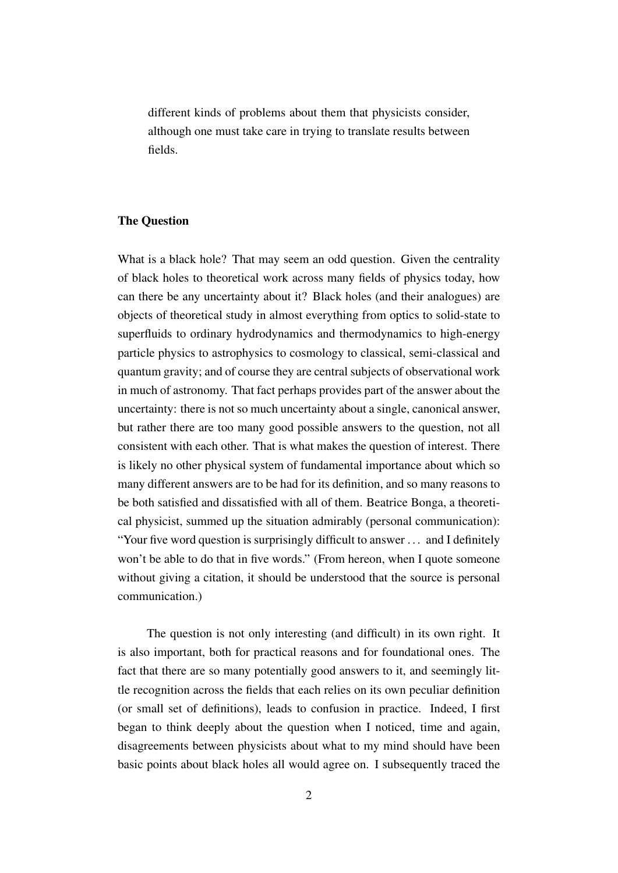different kinds of problems about them that physicists consider, although one must take care in trying to translate results between fields.

#### The Question

What is a black hole? That may seem an odd question. Given the centrality of black holes to theoretical work across many fields of physics today, how can there be any uncertainty about it? Black holes (and their analogues) are objects of theoretical study in almost everything from optics to solid-state to superfluids to ordinary hydrodynamics and thermodynamics to high-energy particle physics to astrophysics to cosmology to classical, semi-classical and quantum gravity; and of course they are central subjects of observational work in much of astronomy. That fact perhaps provides part of the answer about the uncertainty: there is not so much uncertainty about a single, canonical answer, but rather there are too many good possible answers to the question, not all consistent with each other. That is what makes the question of interest. There is likely no other physical system of fundamental importance about which so many different answers are to be had for its definition, and so many reasons to be both satisfied and dissatisfied with all of them. Beatrice Bonga, a theoretical physicist, summed up the situation admirably (personal communication): "Your five word question is surprisingly difficult to answer . . . and I definitely won't be able to do that in five words." (From hereon, when I quote someone without giving a citation, it should be understood that the source is personal communication.)

The question is not only interesting (and difficult) in its own right. It is also important, both for practical reasons and for foundational ones. The fact that there are so many potentially good answers to it, and seemingly little recognition across the fields that each relies on its own peculiar definition (or small set of definitions), leads to confusion in practice. Indeed, I first began to think deeply about the question when I noticed, time and again, disagreements between physicists about what to my mind should have been basic points about black holes all would agree on. I subsequently traced the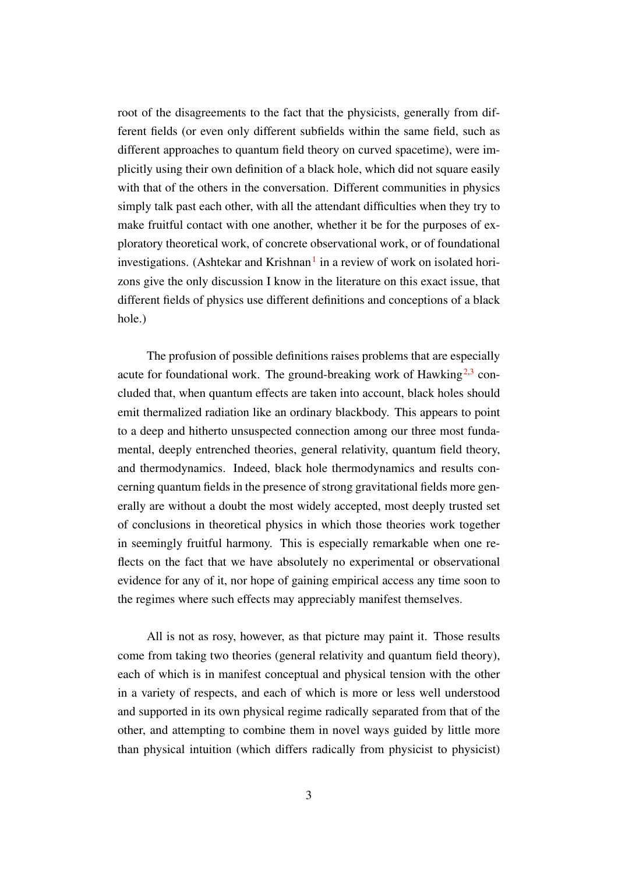root of the disagreements to the fact that the physicists, generally from different fields (or even only different subfields within the same field, such as different approaches to quantum field theory on curved spacetime), were implicitly using their own definition of a black hole, which did not square easily with that of the others in the conversation. Different communities in physics simply talk past each other, with all the attendant difficulties when they try to make fruitful contact with one another, whether it be for the purposes of exploratory theoretical work, of concrete observational work, or of foundational investigations. (Ashtekar and Krishnan<sup>[1](#page-29-0)</sup> in a review of work on isolated horizons give the only discussion I know in the literature on this exact issue, that different fields of physics use different definitions and conceptions of a black hole.)

The profusion of possible definitions raises problems that are especially acute for foundational work. The ground-breaking work of Hawking<sup>[2,](#page-29-1)[3](#page-29-2)</sup> concluded that, when quantum effects are taken into account, black holes should emit thermalized radiation like an ordinary blackbody. This appears to point to a deep and hitherto unsuspected connection among our three most fundamental, deeply entrenched theories, general relativity, quantum field theory, and thermodynamics. Indeed, black hole thermodynamics and results concerning quantum fields in the presence of strong gravitational fields more generally are without a doubt the most widely accepted, most deeply trusted set of conclusions in theoretical physics in which those theories work together in seemingly fruitful harmony. This is especially remarkable when one reflects on the fact that we have absolutely no experimental or observational evidence for any of it, nor hope of gaining empirical access any time soon to the regimes where such effects may appreciably manifest themselves.

All is not as rosy, however, as that picture may paint it. Those results come from taking two theories (general relativity and quantum field theory), each of which is in manifest conceptual and physical tension with the other in a variety of respects, and each of which is more or less well understood and supported in its own physical regime radically separated from that of the other, and attempting to combine them in novel ways guided by little more than physical intuition (which differs radically from physicist to physicist)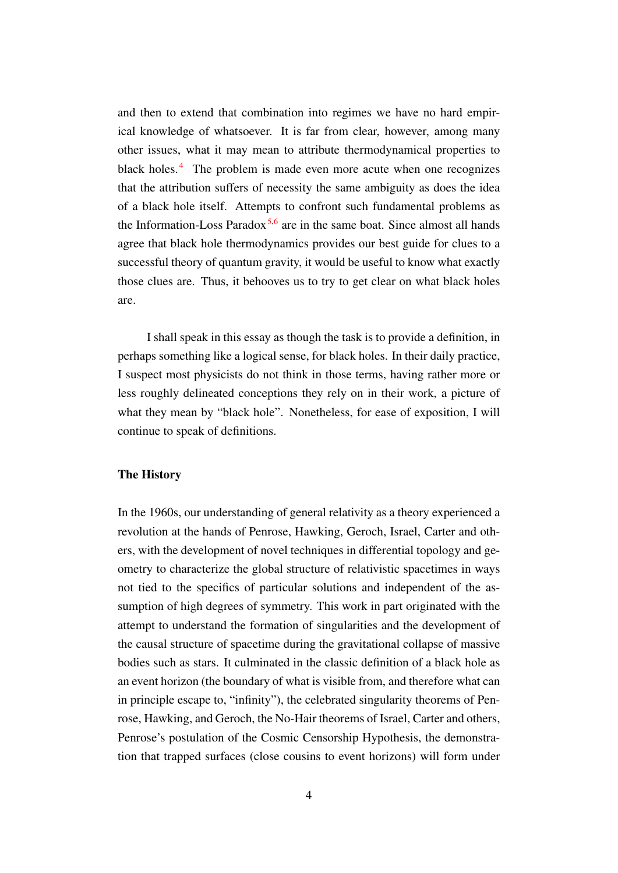and then to extend that combination into regimes we have no hard empirical knowledge of whatsoever. It is far from clear, however, among many other issues, what it may mean to attribute thermodynamical properties to black holes.<sup>[4](#page-29-3)</sup> The problem is made even more acute when one recognizes that the attribution suffers of necessity the same ambiguity as does the idea of a black hole itself. Attempts to confront such fundamental problems as the Information-Loss Paradox<sup>[5,](#page-29-4)[6](#page-30-0)</sup> are in the same boat. Since almost all hands agree that black hole thermodynamics provides our best guide for clues to a successful theory of quantum gravity, it would be useful to know what exactly those clues are. Thus, it behooves us to try to get clear on what black holes are.

I shall speak in this essay as though the task is to provide a definition, in perhaps something like a logical sense, for black holes. In their daily practice, I suspect most physicists do not think in those terms, having rather more or less roughly delineated conceptions they rely on in their work, a picture of what they mean by "black hole". Nonetheless, for ease of exposition, I will continue to speak of definitions.

#### The History

In the 1960s, our understanding of general relativity as a theory experienced a revolution at the hands of Penrose, Hawking, Geroch, Israel, Carter and others, with the development of novel techniques in differential topology and geometry to characterize the global structure of relativistic spacetimes in ways not tied to the specifics of particular solutions and independent of the assumption of high degrees of symmetry. This work in part originated with the attempt to understand the formation of singularities and the development of the causal structure of spacetime during the gravitational collapse of massive bodies such as stars. It culminated in the classic definition of a black hole as an event horizon (the boundary of what is visible from, and therefore what can in principle escape to, "infinity"), the celebrated singularity theorems of Penrose, Hawking, and Geroch, the No-Hair theorems of Israel, Carter and others, Penrose's postulation of the Cosmic Censorship Hypothesis, the demonstration that trapped surfaces (close cousins to event horizons) will form under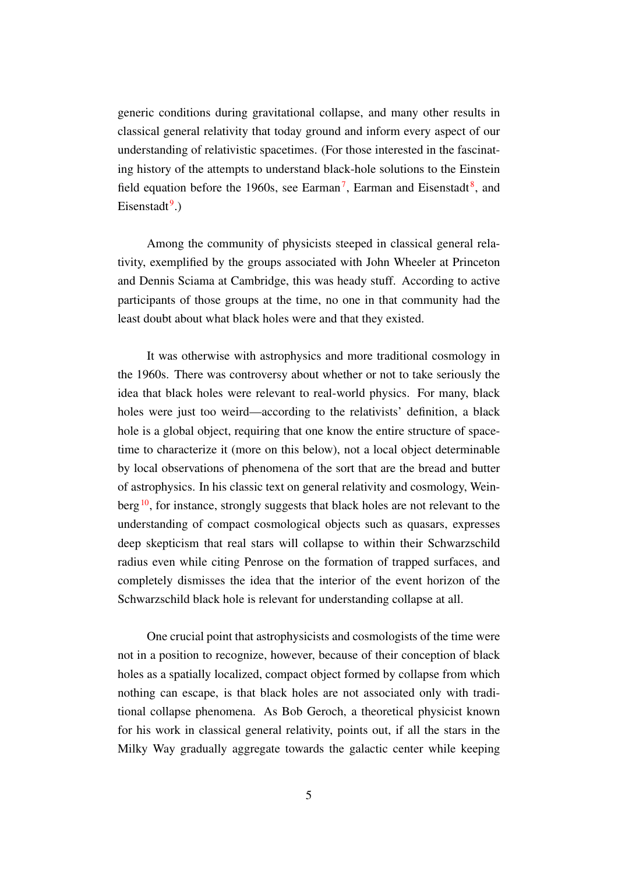generic conditions during gravitational collapse, and many other results in classical general relativity that today ground and inform every aspect of our understanding of relativistic spacetimes. (For those interested in the fascinating history of the attempts to understand black-hole solutions to the Einstein field equation before the 1960s, see Earman<sup>[7](#page-30-1)</sup>, Earman and Eisenstadt<sup>[8](#page-30-2)</sup>, and Eisenstadt<sup>[9](#page-30-3)</sup>.)

Among the community of physicists steeped in classical general relativity, exemplified by the groups associated with John Wheeler at Princeton and Dennis Sciama at Cambridge, this was heady stuff. According to active participants of those groups at the time, no one in that community had the least doubt about what black holes were and that they existed.

It was otherwise with astrophysics and more traditional cosmology in the 1960s. There was controversy about whether or not to take seriously the idea that black holes were relevant to real-world physics. For many, black holes were just too weird—according to the relativists' definition, a black hole is a global object, requiring that one know the entire structure of spacetime to characterize it (more on this below), not a local object determinable by local observations of phenomena of the sort that are the bread and butter of astrophysics. In his classic text on general relativity and cosmology, Wein- $\text{berg}^{10}$  $\text{berg}^{10}$  $\text{berg}^{10}$ , for instance, strongly suggests that black holes are not relevant to the understanding of compact cosmological objects such as quasars, expresses deep skepticism that real stars will collapse to within their Schwarzschild radius even while citing Penrose on the formation of trapped surfaces, and completely dismisses the idea that the interior of the event horizon of the Schwarzschild black hole is relevant for understanding collapse at all.

One crucial point that astrophysicists and cosmologists of the time were not in a position to recognize, however, because of their conception of black holes as a spatially localized, compact object formed by collapse from which nothing can escape, is that black holes are not associated only with traditional collapse phenomena. As Bob Geroch, a theoretical physicist known for his work in classical general relativity, points out, if all the stars in the Milky Way gradually aggregate towards the galactic center while keeping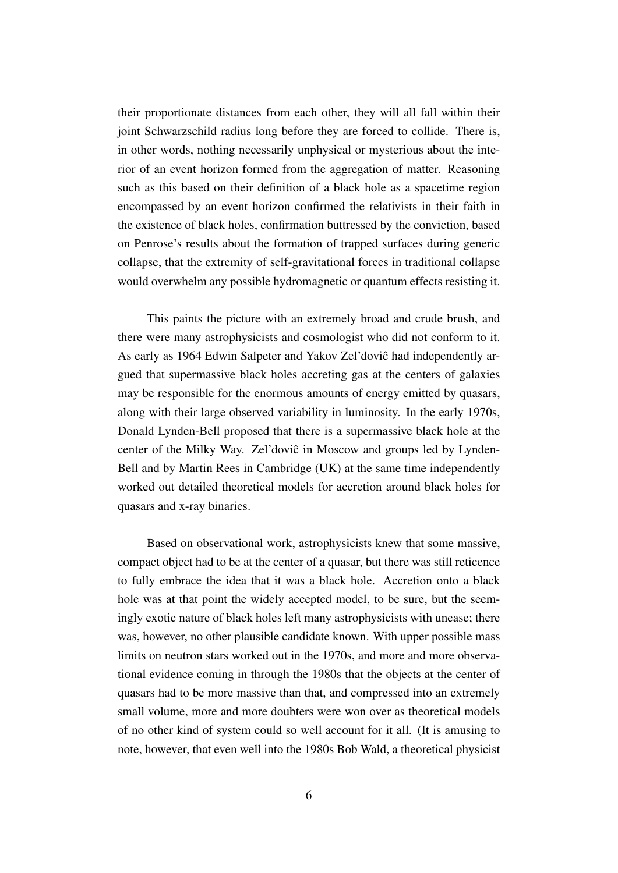their proportionate distances from each other, they will all fall within their joint Schwarzschild radius long before they are forced to collide. There is, in other words, nothing necessarily unphysical or mysterious about the interior of an event horizon formed from the aggregation of matter. Reasoning such as this based on their definition of a black hole as a spacetime region encompassed by an event horizon confirmed the relativists in their faith in the existence of black holes, confirmation buttressed by the conviction, based on Penrose's results about the formation of trapped surfaces during generic collapse, that the extremity of self-gravitational forces in traditional collapse would overwhelm any possible hydromagnetic or quantum effects resisting it.

This paints the picture with an extremely broad and crude brush, and there were many astrophysicists and cosmologist who did not conform to it. As early as 1964 Edwin Salpeter and Yakov Zel'dovic had independently argued that supermassive black holes accreting gas at the centers of galaxies may be responsible for the enormous amounts of energy emitted by quasars, along with their large observed variability in luminosity. In the early 1970s, Donald Lynden-Bell proposed that there is a supermassive black hole at the center of the Milky Way. Zel'dovic in Moscow and groups led by Lynden-Bell and by Martin Rees in Cambridge (UK) at the same time independently worked out detailed theoretical models for accretion around black holes for quasars and x-ray binaries.

Based on observational work, astrophysicists knew that some massive, compact object had to be at the center of a quasar, but there was still reticence to fully embrace the idea that it was a black hole. Accretion onto a black hole was at that point the widely accepted model, to be sure, but the seemingly exotic nature of black holes left many astrophysicists with unease; there was, however, no other plausible candidate known. With upper possible mass limits on neutron stars worked out in the 1970s, and more and more observational evidence coming in through the 1980s that the objects at the center of quasars had to be more massive than that, and compressed into an extremely small volume, more and more doubters were won over as theoretical models of no other kind of system could so well account for it all. (It is amusing to note, however, that even well into the 1980s Bob Wald, a theoretical physicist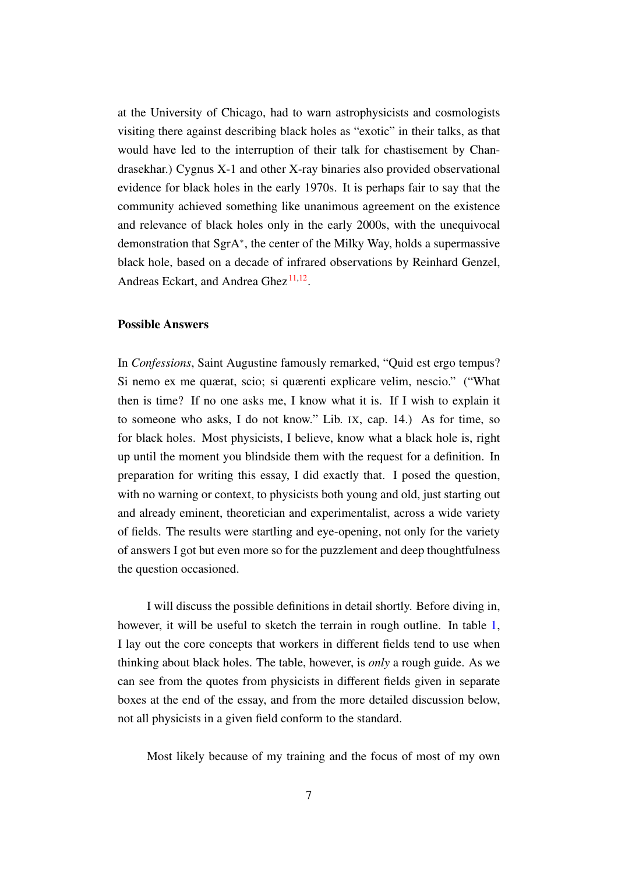at the University of Chicago, had to warn astrophysicists and cosmologists visiting there against describing black holes as "exotic" in their talks, as that would have led to the interruption of their talk for chastisement by Chandrasekhar.) Cygnus X-1 and other X-ray binaries also provided observational evidence for black holes in the early 1970s. It is perhaps fair to say that the community achieved something like unanimous agreement on the existence and relevance of black holes only in the early 2000s, with the unequivocal demonstration that SgrA<sup>∗</sup> , the center of the Milky Way, holds a supermassive black hole, based on a decade of infrared observations by Reinhard Genzel, Andreas Eckart, and Andrea Ghez<sup>[11](#page-30-5)[,12](#page-30-6)</sup>.

### Possible Answers

In *Confessions*, Saint Augustine famously remarked, "Quid est ergo tempus? Si nemo ex me quærat, scio; si quærenti explicare velim, nescio." ("What then is time? If no one asks me, I know what it is. If I wish to explain it to someone who asks, I do not know." Lib. IX, cap. 14.) As for time, so for black holes. Most physicists, I believe, know what a black hole is, right up until the moment you blindside them with the request for a definition. In preparation for writing this essay, I did exactly that. I posed the question, with no warning or context, to physicists both young and old, just starting out and already eminent, theoretician and experimentalist, across a wide variety of fields. The results were startling and eye-opening, not only for the variety of answers I got but even more so for the puzzlement and deep thoughtfulness the question occasioned.

I will discuss the possible definitions in detail shortly. Before diving in, however, it will be useful to sketch the terrain in rough outline. In table [1,](#page-7-0) I lay out the core concepts that workers in different fields tend to use when thinking about black holes. The table, however, is *only* a rough guide. As we can see from the quotes from physicists in different fields given in separate boxes at the end of the essay, and from the more detailed discussion below, not all physicists in a given field conform to the standard.

Most likely because of my training and the focus of most of my own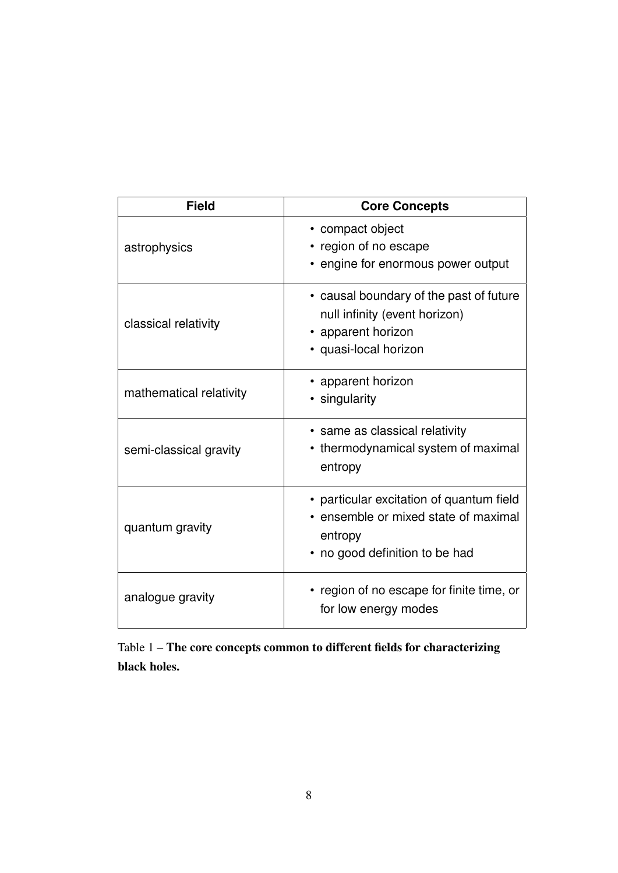<span id="page-7-0"></span>

| <b>Field</b>            | <b>Core Concepts</b>                                                                                                          |
|-------------------------|-------------------------------------------------------------------------------------------------------------------------------|
| astrophysics            | • compact object<br>• region of no escape<br>• engine for enormous power output                                               |
| classical relativity    | • causal boundary of the past of future<br>null infinity (event horizon)<br>• apparent horizon<br>· quasi-local horizon       |
| mathematical relativity | apparent horizon<br>singularity                                                                                               |
| semi-classical gravity  | • same as classical relativity<br>• thermodynamical system of maximal<br>entropy                                              |
| quantum gravity         | • particular excitation of quantum field<br>• ensemble or mixed state of maximal<br>entropy<br>• no good definition to be had |
| analogue gravity        | • region of no escape for finite time, or<br>for low energy modes                                                             |

Table 1 – The core concepts common to different fields for characterizing black holes.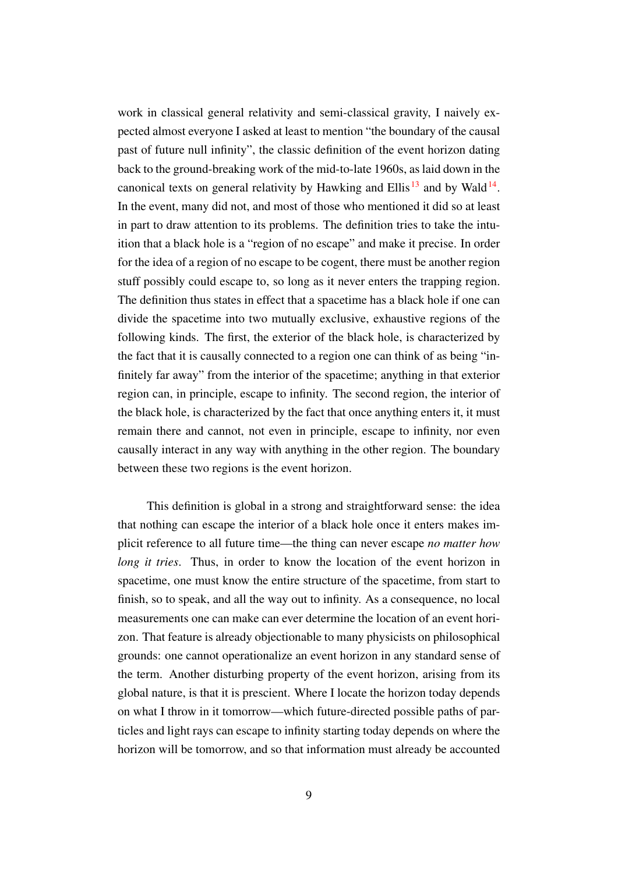work in classical general relativity and semi-classical gravity, I naively expected almost everyone I asked at least to mention "the boundary of the causal past of future null infinity", the classic definition of the event horizon dating back to the ground-breaking work of the mid-to-late 1960s, as laid down in the canonical texts on general relativity by Hawking and Ellis<sup>[13](#page-30-7)</sup> and by Wald<sup>[14](#page-30-8)</sup>. In the event, many did not, and most of those who mentioned it did so at least in part to draw attention to its problems. The definition tries to take the intuition that a black hole is a "region of no escape" and make it precise. In order for the idea of a region of no escape to be cogent, there must be another region stuff possibly could escape to, so long as it never enters the trapping region. The definition thus states in effect that a spacetime has a black hole if one can divide the spacetime into two mutually exclusive, exhaustive regions of the following kinds. The first, the exterior of the black hole, is characterized by the fact that it is causally connected to a region one can think of as being "infinitely far away" from the interior of the spacetime; anything in that exterior region can, in principle, escape to infinity. The second region, the interior of the black hole, is characterized by the fact that once anything enters it, it must remain there and cannot, not even in principle, escape to infinity, nor even causally interact in any way with anything in the other region. The boundary between these two regions is the event horizon.

This definition is global in a strong and straightforward sense: the idea that nothing can escape the interior of a black hole once it enters makes implicit reference to all future time—the thing can never escape *no matter how long it tries*. Thus, in order to know the location of the event horizon in spacetime, one must know the entire structure of the spacetime, from start to finish, so to speak, and all the way out to infinity. As a consequence, no local measurements one can make can ever determine the location of an event horizon. That feature is already objectionable to many physicists on philosophical grounds: one cannot operationalize an event horizon in any standard sense of the term. Another disturbing property of the event horizon, arising from its global nature, is that it is prescient. Where I locate the horizon today depends on what I throw in it tomorrow—which future-directed possible paths of particles and light rays can escape to infinity starting today depends on where the horizon will be tomorrow, and so that information must already be accounted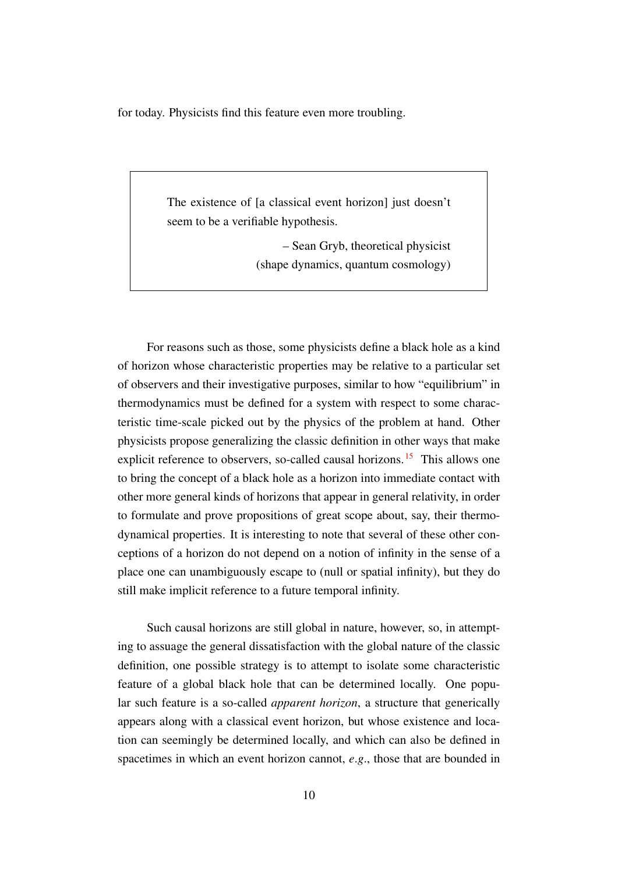for today. Physicists find this feature even more troubling.

The existence of [a classical event horizon] just doesn't seem to be a verifiable hypothesis.

> – Sean Gryb, theoretical physicist (shape dynamics, quantum cosmology)

For reasons such as those, some physicists define a black hole as a kind of horizon whose characteristic properties may be relative to a particular set of observers and their investigative purposes, similar to how "equilibrium" in thermodynamics must be defined for a system with respect to some characteristic time-scale picked out by the physics of the problem at hand. Other physicists propose generalizing the classic definition in other ways that make explicit reference to observers, so-called causal horizons.<sup>[15](#page-30-9)</sup> This allows one to bring the concept of a black hole as a horizon into immediate contact with other more general kinds of horizons that appear in general relativity, in order to formulate and prove propositions of great scope about, say, their thermodynamical properties. It is interesting to note that several of these other conceptions of a horizon do not depend on a notion of infinity in the sense of a place one can unambiguously escape to (null or spatial infinity), but they do still make implicit reference to a future temporal infinity.

Such causal horizons are still global in nature, however, so, in attempting to assuage the general dissatisfaction with the global nature of the classic definition, one possible strategy is to attempt to isolate some characteristic feature of a global black hole that can be determined locally. One popular such feature is a so-called *apparent horizon*, a structure that generically appears along with a classical event horizon, but whose existence and location can seemingly be determined locally, and which can also be defined in spacetimes in which an event horizon cannot, *e*.*g*., those that are bounded in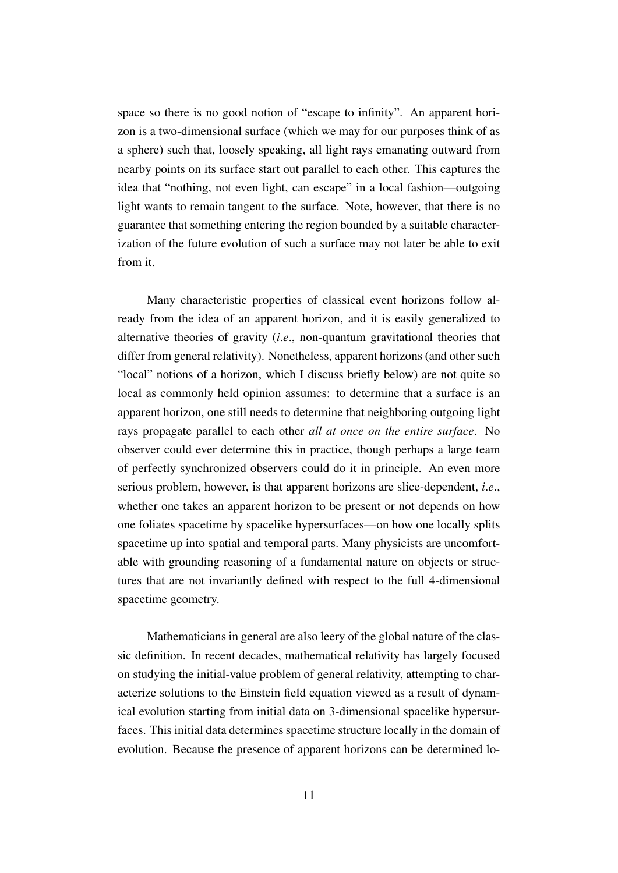space so there is no good notion of "escape to infinity". An apparent horizon is a two-dimensional surface (which we may for our purposes think of as a sphere) such that, loosely speaking, all light rays emanating outward from nearby points on its surface start out parallel to each other. This captures the idea that "nothing, not even light, can escape" in a local fashion—outgoing light wants to remain tangent to the surface. Note, however, that there is no guarantee that something entering the region bounded by a suitable characterization of the future evolution of such a surface may not later be able to exit from it.

Many characteristic properties of classical event horizons follow already from the idea of an apparent horizon, and it is easily generalized to alternative theories of gravity (*i*.*e*., non-quantum gravitational theories that differ from general relativity). Nonetheless, apparent horizons (and other such "local" notions of a horizon, which I discuss briefly below) are not quite so local as commonly held opinion assumes: to determine that a surface is an apparent horizon, one still needs to determine that neighboring outgoing light rays propagate parallel to each other *all at once on the entire surface*. No observer could ever determine this in practice, though perhaps a large team of perfectly synchronized observers could do it in principle. An even more serious problem, however, is that apparent horizons are slice-dependent, *i*.*e*., whether one takes an apparent horizon to be present or not depends on how one foliates spacetime by spacelike hypersurfaces—on how one locally splits spacetime up into spatial and temporal parts. Many physicists are uncomfortable with grounding reasoning of a fundamental nature on objects or structures that are not invariantly defined with respect to the full 4-dimensional spacetime geometry.

Mathematicians in general are also leery of the global nature of the classic definition. In recent decades, mathematical relativity has largely focused on studying the initial-value problem of general relativity, attempting to characterize solutions to the Einstein field equation viewed as a result of dynamical evolution starting from initial data on 3-dimensional spacelike hypersurfaces. This initial data determines spacetime structure locally in the domain of evolution. Because the presence of apparent horizons can be determined lo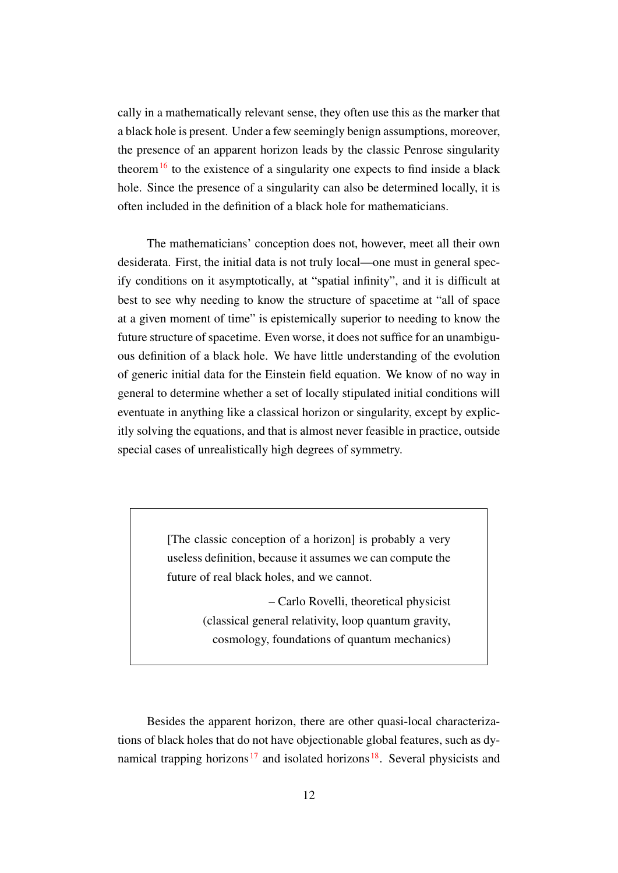cally in a mathematically relevant sense, they often use this as the marker that a black hole is present. Under a few seemingly benign assumptions, moreover, the presence of an apparent horizon leads by the classic Penrose singularity theorem<sup>[16](#page-30-10)</sup> to the existence of a singularity one expects to find inside a black hole. Since the presence of a singularity can also be determined locally, it is often included in the definition of a black hole for mathematicians.

The mathematicians' conception does not, however, meet all their own desiderata. First, the initial data is not truly local—one must in general specify conditions on it asymptotically, at "spatial infinity", and it is difficult at best to see why needing to know the structure of spacetime at "all of space at a given moment of time" is epistemically superior to needing to know the future structure of spacetime. Even worse, it does not suffice for an unambiguous definition of a black hole. We have little understanding of the evolution of generic initial data for the Einstein field equation. We know of no way in general to determine whether a set of locally stipulated initial conditions will eventuate in anything like a classical horizon or singularity, except by explicitly solving the equations, and that is almost never feasible in practice, outside special cases of unrealistically high degrees of symmetry.

> [The classic conception of a horizon] is probably a very useless definition, because it assumes we can compute the future of real black holes, and we cannot.

> > – Carlo Rovelli, theoretical physicist (classical general relativity, loop quantum gravity, cosmology, foundations of quantum mechanics)

Besides the apparent horizon, there are other quasi-local characterizations of black holes that do not have objectionable global features, such as dy-namical trapping horizons<sup>[17](#page-31-0)</sup> and isolated horizons<sup>[18](#page-31-1)</sup>. Several physicists and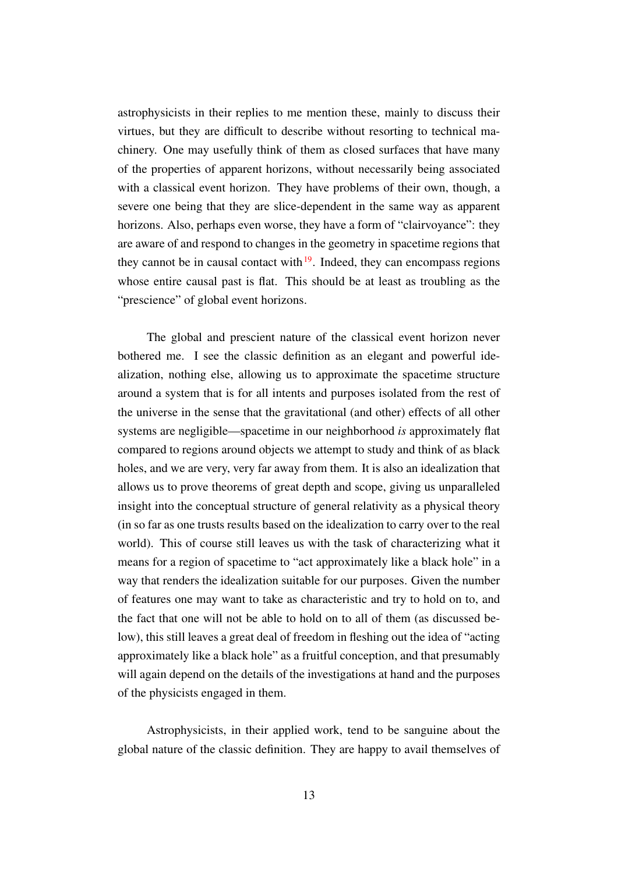astrophysicists in their replies to me mention these, mainly to discuss their virtues, but they are difficult to describe without resorting to technical machinery. One may usefully think of them as closed surfaces that have many of the properties of apparent horizons, without necessarily being associated with a classical event horizon. They have problems of their own, though, a severe one being that they are slice-dependent in the same way as apparent horizons. Also, perhaps even worse, they have a form of "clairvoyance": they are aware of and respond to changes in the geometry in spacetime regions that they cannot be in causal contact with  $19$ . Indeed, they can encompass regions whose entire causal past is flat. This should be at least as troubling as the "prescience" of global event horizons.

The global and prescient nature of the classical event horizon never bothered me. I see the classic definition as an elegant and powerful idealization, nothing else, allowing us to approximate the spacetime structure around a system that is for all intents and purposes isolated from the rest of the universe in the sense that the gravitational (and other) effects of all other systems are negligible—spacetime in our neighborhood *is* approximately flat compared to regions around objects we attempt to study and think of as black holes, and we are very, very far away from them. It is also an idealization that allows us to prove theorems of great depth and scope, giving us unparalleled insight into the conceptual structure of general relativity as a physical theory (in so far as one trusts results based on the idealization to carry over to the real world). This of course still leaves us with the task of characterizing what it means for a region of spacetime to "act approximately like a black hole" in a way that renders the idealization suitable for our purposes. Given the number of features one may want to take as characteristic and try to hold on to, and the fact that one will not be able to hold on to all of them (as discussed below), this still leaves a great deal of freedom in fleshing out the idea of "acting approximately like a black hole" as a fruitful conception, and that presumably will again depend on the details of the investigations at hand and the purposes of the physicists engaged in them.

Astrophysicists, in their applied work, tend to be sanguine about the global nature of the classic definition. They are happy to avail themselves of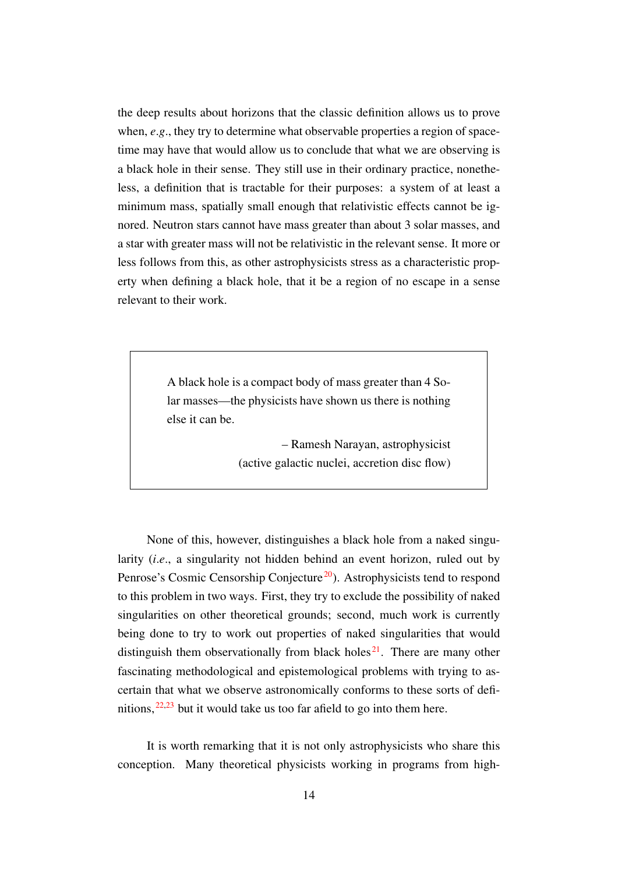the deep results about horizons that the classic definition allows us to prove when, *e.g.*, they try to determine what observable properties a region of spacetime may have that would allow us to conclude that what we are observing is a black hole in their sense. They still use in their ordinary practice, nonetheless, a definition that is tractable for their purposes: a system of at least a minimum mass, spatially small enough that relativistic effects cannot be ignored. Neutron stars cannot have mass greater than about 3 solar masses, and a star with greater mass will not be relativistic in the relevant sense. It more or less follows from this, as other astrophysicists stress as a characteristic property when defining a black hole, that it be a region of no escape in a sense relevant to their work.

> A black hole is a compact body of mass greater than 4 Solar masses—the physicists have shown us there is nothing else it can be.

> > – Ramesh Narayan, astrophysicist (active galactic nuclei, accretion disc flow)

None of this, however, distinguishes a black hole from a naked singularity (*i*.*e*., a singularity not hidden behind an event horizon, ruled out by Penrose's Cosmic Censorship Conjecture<sup>[20](#page-31-3)</sup>). Astrophysicists tend to respond to this problem in two ways. First, they try to exclude the possibility of naked singularities on other theoretical grounds; second, much work is currently being done to try to work out properties of naked singularities that would distinguish them observationally from black holes $^{21}$  $^{21}$  $^{21}$ . There are many other fascinating methodological and epistemological problems with trying to ascertain that what we observe astronomically conforms to these sorts of definitions,  $22,23$  $22,23$  but it would take us too far afield to go into them here.

It is worth remarking that it is not only astrophysicists who share this conception. Many theoretical physicists working in programs from high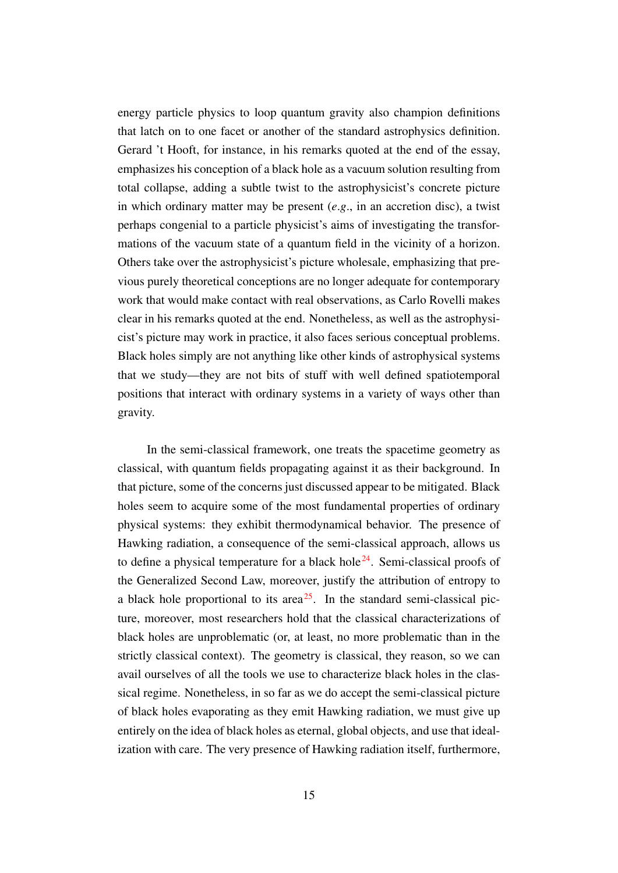energy particle physics to loop quantum gravity also champion definitions that latch on to one facet or another of the standard astrophysics definition. Gerard 't Hooft, for instance, in his remarks quoted at the end of the essay, emphasizes his conception of a black hole as a vacuum solution resulting from total collapse, adding a subtle twist to the astrophysicist's concrete picture in which ordinary matter may be present (*e*.*g*., in an accretion disc), a twist perhaps congenial to a particle physicist's aims of investigating the transformations of the vacuum state of a quantum field in the vicinity of a horizon. Others take over the astrophysicist's picture wholesale, emphasizing that previous purely theoretical conceptions are no longer adequate for contemporary work that would make contact with real observations, as Carlo Rovelli makes clear in his remarks quoted at the end. Nonetheless, as well as the astrophysicist's picture may work in practice, it also faces serious conceptual problems. Black holes simply are not anything like other kinds of astrophysical systems that we study—they are not bits of stuff with well defined spatiotemporal positions that interact with ordinary systems in a variety of ways other than gravity.

In the semi-classical framework, one treats the spacetime geometry as classical, with quantum fields propagating against it as their background. In that picture, some of the concerns just discussed appear to be mitigated. Black holes seem to acquire some of the most fundamental properties of ordinary physical systems: they exhibit thermodynamical behavior. The presence of Hawking radiation, a consequence of the semi-classical approach, allows us to define a physical temperature for a black hole<sup>[24](#page-31-7)</sup>. Semi-classical proofs of the Generalized Second Law, moreover, justify the attribution of entropy to a black hole proportional to its area<sup>[25](#page-31-8)</sup>. In the standard semi-classical picture, moreover, most researchers hold that the classical characterizations of black holes are unproblematic (or, at least, no more problematic than in the strictly classical context). The geometry is classical, they reason, so we can avail ourselves of all the tools we use to characterize black holes in the classical regime. Nonetheless, in so far as we do accept the semi-classical picture of black holes evaporating as they emit Hawking radiation, we must give up entirely on the idea of black holes as eternal, global objects, and use that idealization with care. The very presence of Hawking radiation itself, furthermore,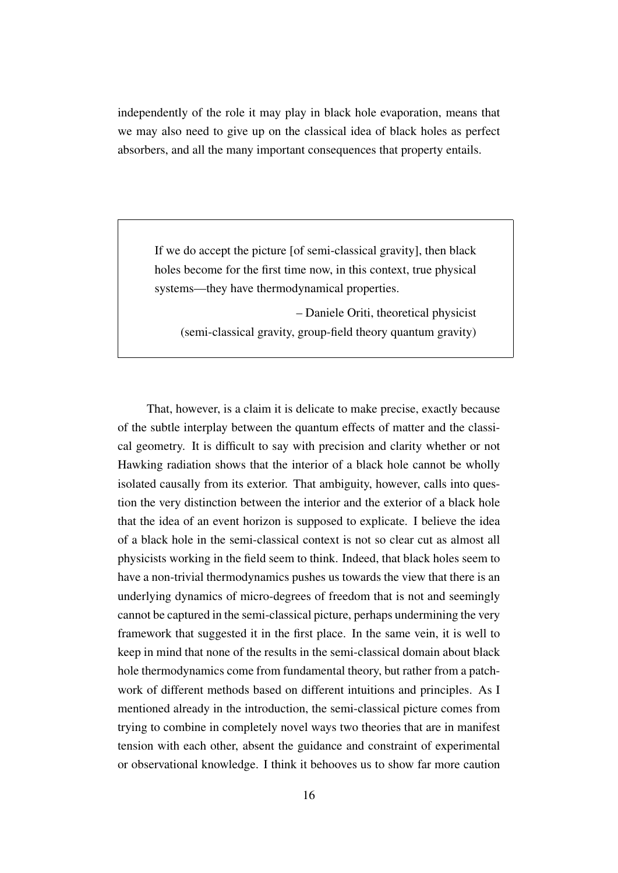independently of the role it may play in black hole evaporation, means that we may also need to give up on the classical idea of black holes as perfect absorbers, and all the many important consequences that property entails.

If we do accept the picture [of semi-classical gravity], then black holes become for the first time now, in this context, true physical systems—they have thermodynamical properties.

– Daniele Oriti, theoretical physicist (semi-classical gravity, group-field theory quantum gravity)

That, however, is a claim it is delicate to make precise, exactly because of the subtle interplay between the quantum effects of matter and the classical geometry. It is difficult to say with precision and clarity whether or not Hawking radiation shows that the interior of a black hole cannot be wholly isolated causally from its exterior. That ambiguity, however, calls into question the very distinction between the interior and the exterior of a black hole that the idea of an event horizon is supposed to explicate. I believe the idea of a black hole in the semi-classical context is not so clear cut as almost all physicists working in the field seem to think. Indeed, that black holes seem to have a non-trivial thermodynamics pushes us towards the view that there is an underlying dynamics of micro-degrees of freedom that is not and seemingly cannot be captured in the semi-classical picture, perhaps undermining the very framework that suggested it in the first place. In the same vein, it is well to keep in mind that none of the results in the semi-classical domain about black hole thermodynamics come from fundamental theory, but rather from a patchwork of different methods based on different intuitions and principles. As I mentioned already in the introduction, the semi-classical picture comes from trying to combine in completely novel ways two theories that are in manifest tension with each other, absent the guidance and constraint of experimental or observational knowledge. I think it behooves us to show far more caution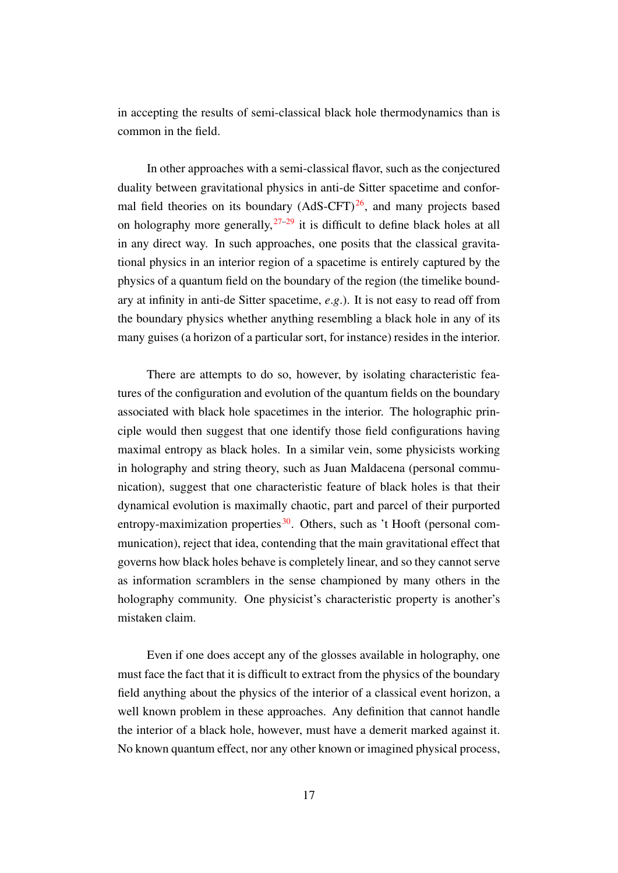in accepting the results of semi-classical black hole thermodynamics than is common in the field.

In other approaches with a semi-classical flavor, such as the conjectured duality between gravitational physics in anti-de Sitter spacetime and conformal field theories on its boundary  $(AdS-CFT)^{26}$  $(AdS-CFT)^{26}$  $(AdS-CFT)^{26}$ , and many projects based on holography more generally,  $27-29$  $27-29$  it is difficult to define black holes at all in any direct way. In such approaches, one posits that the classical gravitational physics in an interior region of a spacetime is entirely captured by the physics of a quantum field on the boundary of the region (the timelike boundary at infinity in anti-de Sitter spacetime, *e*.*g*.). It is not easy to read off from the boundary physics whether anything resembling a black hole in any of its many guises (a horizon of a particular sort, for instance) resides in the interior.

There are attempts to do so, however, by isolating characteristic features of the configuration and evolution of the quantum fields on the boundary associated with black hole spacetimes in the interior. The holographic principle would then suggest that one identify those field configurations having maximal entropy as black holes. In a similar vein, some physicists working in holography and string theory, such as Juan Maldacena (personal communication), suggest that one characteristic feature of black holes is that their dynamical evolution is maximally chaotic, part and parcel of their purported entropy-maximization properties  $30$ . Others, such as 't Hooft (personal communication), reject that idea, contending that the main gravitational effect that governs how black holes behave is completely linear, and so they cannot serve as information scramblers in the sense championed by many others in the holography community. One physicist's characteristic property is another's mistaken claim.

Even if one does accept any of the glosses available in holography, one must face the fact that it is difficult to extract from the physics of the boundary field anything about the physics of the interior of a classical event horizon, a well known problem in these approaches. Any definition that cannot handle the interior of a black hole, however, must have a demerit marked against it. No known quantum effect, nor any other known or imagined physical process,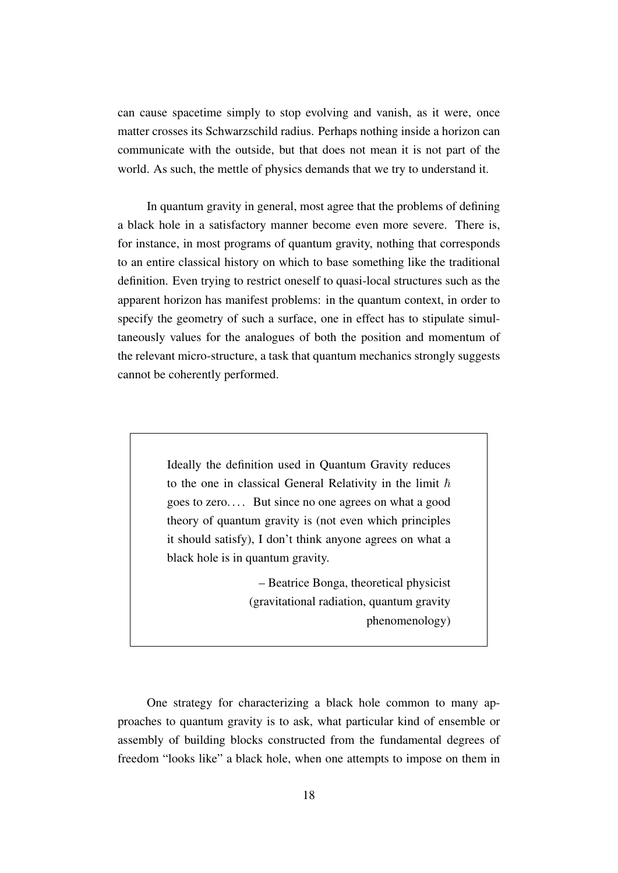can cause spacetime simply to stop evolving and vanish, as it were, once matter crosses its Schwarzschild radius. Perhaps nothing inside a horizon can communicate with the outside, but that does not mean it is not part of the world. As such, the mettle of physics demands that we try to understand it.

In quantum gravity in general, most agree that the problems of defining a black hole in a satisfactory manner become even more severe. There is, for instance, in most programs of quantum gravity, nothing that corresponds to an entire classical history on which to base something like the traditional definition. Even trying to restrict oneself to quasi-local structures such as the apparent horizon has manifest problems: in the quantum context, in order to specify the geometry of such a surface, one in effect has to stipulate simultaneously values for the analogues of both the position and momentum of the relevant micro-structure, a task that quantum mechanics strongly suggests cannot be coherently performed.

> Ideally the definition used in Quantum Gravity reduces to the one in classical General Relativity in the limit  $\hbar$ goes to zero. . . . But since no one agrees on what a good theory of quantum gravity is (not even which principles it should satisfy), I don't think anyone agrees on what a black hole is in quantum gravity.

> > – Beatrice Bonga, theoretical physicist (gravitational radiation, quantum gravity phenomenology)

One strategy for characterizing a black hole common to many approaches to quantum gravity is to ask, what particular kind of ensemble or assembly of building blocks constructed from the fundamental degrees of freedom "looks like" a black hole, when one attempts to impose on them in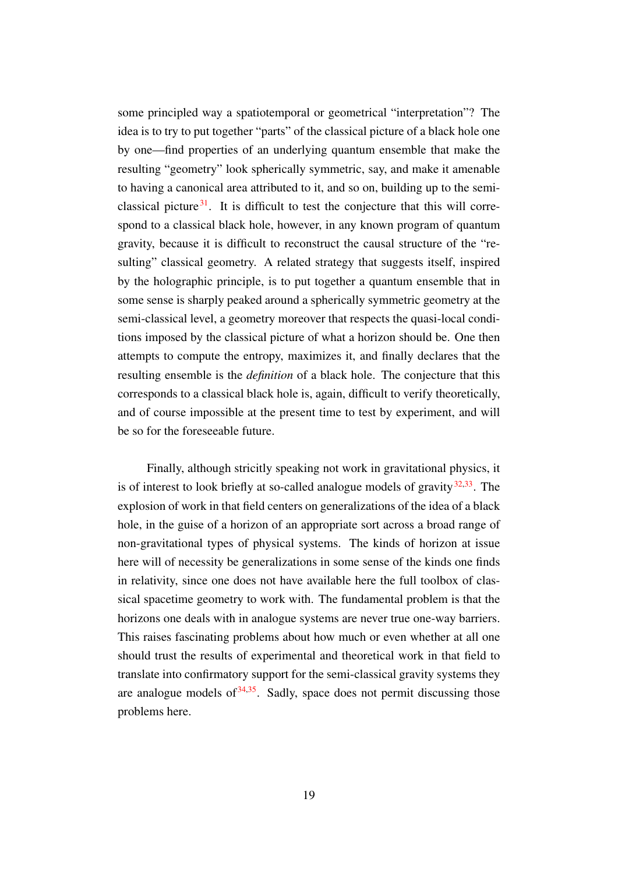some principled way a spatiotemporal or geometrical "interpretation"? The idea is to try to put together "parts" of the classical picture of a black hole one by one—find properties of an underlying quantum ensemble that make the resulting "geometry" look spherically symmetric, say, and make it amenable to having a canonical area attributed to it, and so on, building up to the semi-classical picture<sup>[31](#page-32-1)</sup>. It is difficult to test the conjecture that this will correspond to a classical black hole, however, in any known program of quantum gravity, because it is difficult to reconstruct the causal structure of the "resulting" classical geometry. A related strategy that suggests itself, inspired by the holographic principle, is to put together a quantum ensemble that in some sense is sharply peaked around a spherically symmetric geometry at the semi-classical level, a geometry moreover that respects the quasi-local conditions imposed by the classical picture of what a horizon should be. One then attempts to compute the entropy, maximizes it, and finally declares that the resulting ensemble is the *definition* of a black hole. The conjecture that this corresponds to a classical black hole is, again, difficult to verify theoretically, and of course impossible at the present time to test by experiment, and will be so for the foreseeable future.

Finally, although stricitly speaking not work in gravitational physics, it is of interest to look briefly at so-called analogue models of gravity $32,33$  $32,33$ . The explosion of work in that field centers on generalizations of the idea of a black hole, in the guise of a horizon of an appropriate sort across a broad range of non-gravitational types of physical systems. The kinds of horizon at issue here will of necessity be generalizations in some sense of the kinds one finds in relativity, since one does not have available here the full toolbox of classical spacetime geometry to work with. The fundamental problem is that the horizons one deals with in analogue systems are never true one-way barriers. This raises fascinating problems about how much or even whether at all one should trust the results of experimental and theoretical work in that field to translate into confirmatory support for the semi-classical gravity systems they are analogue models of  $34,35$  $34,35$ . Sadly, space does not permit discussing those problems here.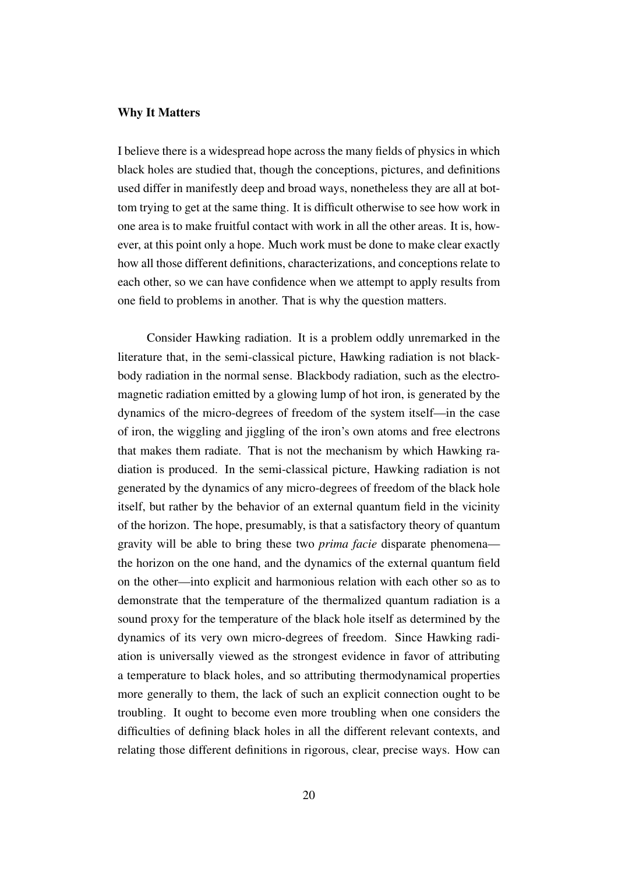#### Why It Matters

I believe there is a widespread hope across the many fields of physics in which black holes are studied that, though the conceptions, pictures, and definitions used differ in manifestly deep and broad ways, nonetheless they are all at bottom trying to get at the same thing. It is difficult otherwise to see how work in one area is to make fruitful contact with work in all the other areas. It is, however, at this point only a hope. Much work must be done to make clear exactly how all those different definitions, characterizations, and conceptions relate to each other, so we can have confidence when we attempt to apply results from one field to problems in another. That is why the question matters.

Consider Hawking radiation. It is a problem oddly unremarked in the literature that, in the semi-classical picture, Hawking radiation is not blackbody radiation in the normal sense. Blackbody radiation, such as the electromagnetic radiation emitted by a glowing lump of hot iron, is generated by the dynamics of the micro-degrees of freedom of the system itself—in the case of iron, the wiggling and jiggling of the iron's own atoms and free electrons that makes them radiate. That is not the mechanism by which Hawking radiation is produced. In the semi-classical picture, Hawking radiation is not generated by the dynamics of any micro-degrees of freedom of the black hole itself, but rather by the behavior of an external quantum field in the vicinity of the horizon. The hope, presumably, is that a satisfactory theory of quantum gravity will be able to bring these two *prima facie* disparate phenomena the horizon on the one hand, and the dynamics of the external quantum field on the other—into explicit and harmonious relation with each other so as to demonstrate that the temperature of the thermalized quantum radiation is a sound proxy for the temperature of the black hole itself as determined by the dynamics of its very own micro-degrees of freedom. Since Hawking radiation is universally viewed as the strongest evidence in favor of attributing a temperature to black holes, and so attributing thermodynamical properties more generally to them, the lack of such an explicit connection ought to be troubling. It ought to become even more troubling when one considers the difficulties of defining black holes in all the different relevant contexts, and relating those different definitions in rigorous, clear, precise ways. How can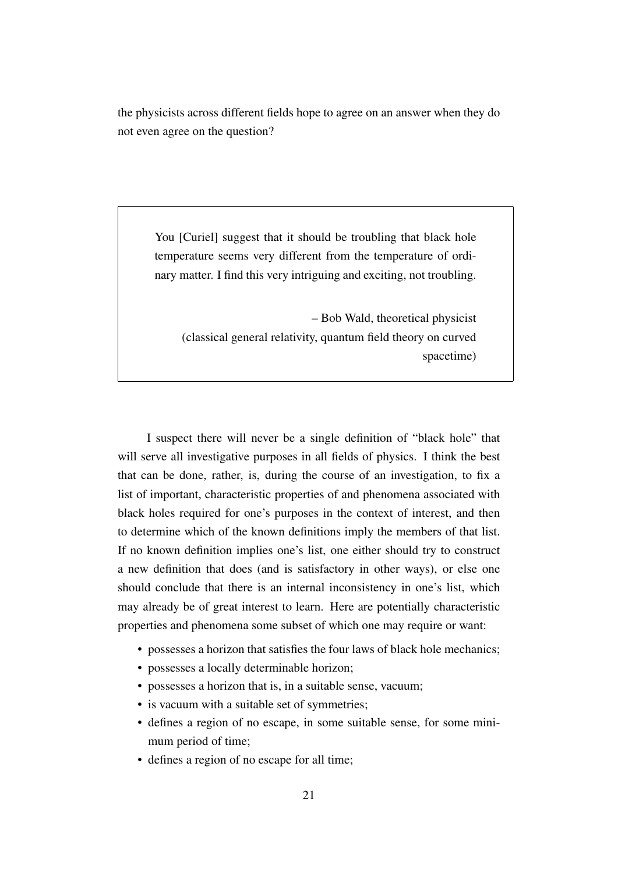the physicists across different fields hope to agree on an answer when they do not even agree on the question?

You [Curiel] suggest that it should be troubling that black hole temperature seems very different from the temperature of ordinary matter. I find this very intriguing and exciting, not troubling.

– Bob Wald, theoretical physicist (classical general relativity, quantum field theory on curved spacetime)

I suspect there will never be a single definition of "black hole" that will serve all investigative purposes in all fields of physics. I think the best that can be done, rather, is, during the course of an investigation, to fix a list of important, characteristic properties of and phenomena associated with black holes required for one's purposes in the context of interest, and then to determine which of the known definitions imply the members of that list. If no known definition implies one's list, one either should try to construct a new definition that does (and is satisfactory in other ways), or else one should conclude that there is an internal inconsistency in one's list, which may already be of great interest to learn. Here are potentially characteristic properties and phenomena some subset of which one may require or want:

- possesses a horizon that satisfies the four laws of black hole mechanics;
- possesses a locally determinable horizon;
- possesses a horizon that is, in a suitable sense, vacuum;
- is vacuum with a suitable set of symmetries;
- defines a region of no escape, in some suitable sense, for some minimum period of time;
- defines a region of no escape for all time;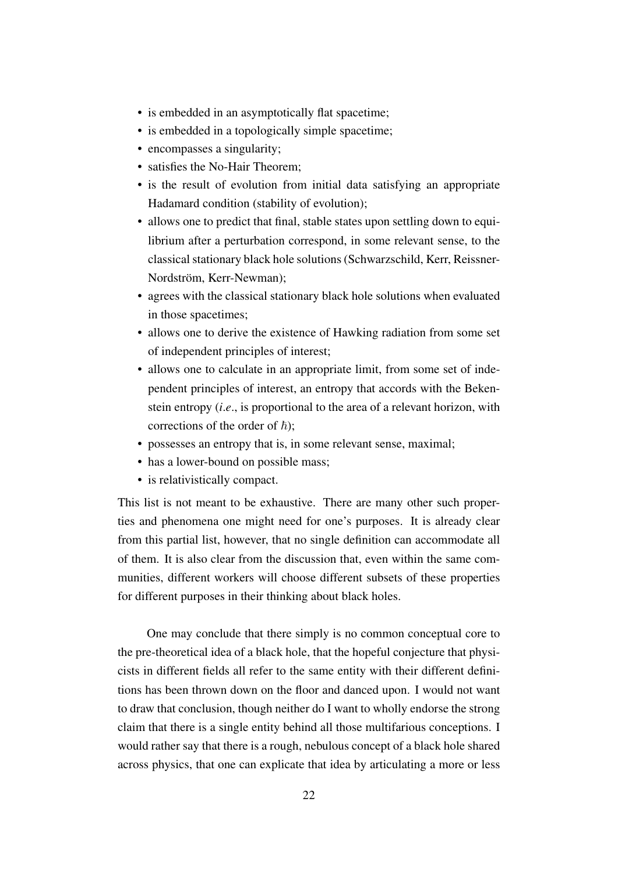- is embedded in an asymptotically flat spacetime;
- is embedded in a topologically simple spacetime;
- encompasses a singularity;
- satisfies the No-Hair Theorem:
- is the result of evolution from initial data satisfying an appropriate Hadamard condition (stability of evolution);
- allows one to predict that final, stable states upon settling down to equilibrium after a perturbation correspond, in some relevant sense, to the classical stationary black hole solutions (Schwarzschild, Kerr, Reissner-Nordström, Kerr-Newman);
- agrees with the classical stationary black hole solutions when evaluated in those spacetimes;
- allows one to derive the existence of Hawking radiation from some set of independent principles of interest;
- allows one to calculate in an appropriate limit, from some set of independent principles of interest, an entropy that accords with the Bekenstein entropy (*i*.*e*., is proportional to the area of a relevant horizon, with corrections of the order of  $\hbar$ );
- possesses an entropy that is, in some relevant sense, maximal;
- has a lower-bound on possible mass;
- is relativistically compact.

This list is not meant to be exhaustive. There are many other such properties and phenomena one might need for one's purposes. It is already clear from this partial list, however, that no single definition can accommodate all of them. It is also clear from the discussion that, even within the same communities, different workers will choose different subsets of these properties for different purposes in their thinking about black holes.

One may conclude that there simply is no common conceptual core to the pre-theoretical idea of a black hole, that the hopeful conjecture that physicists in different fields all refer to the same entity with their different definitions has been thrown down on the floor and danced upon. I would not want to draw that conclusion, though neither do I want to wholly endorse the strong claim that there is a single entity behind all those multifarious conceptions. I would rather say that there is a rough, nebulous concept of a black hole shared across physics, that one can explicate that idea by articulating a more or less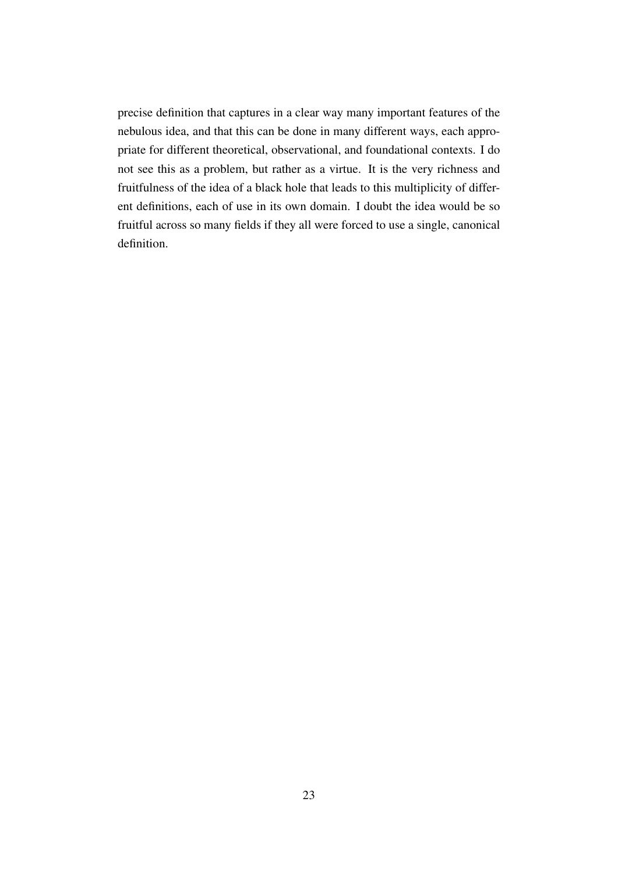precise definition that captures in a clear way many important features of the nebulous idea, and that this can be done in many different ways, each appropriate for different theoretical, observational, and foundational contexts. I do not see this as a problem, but rather as a virtue. It is the very richness and fruitfulness of the idea of a black hole that leads to this multiplicity of different definitions, each of use in its own domain. I doubt the idea would be so fruitful across so many fields if they all were forced to use a single, canonical definition.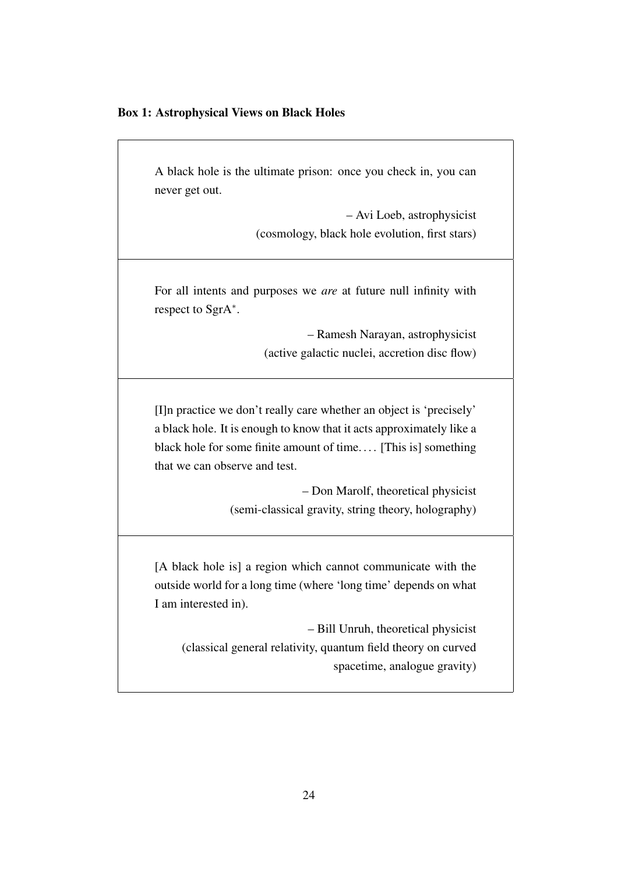#### Box 1: Astrophysical Views on Black Holes

A black hole is the ultimate prison: once you check in, you can never get out.

> – Avi Loeb, astrophysicist (cosmology, black hole evolution, first stars)

For all intents and purposes we *are* at future null infinity with respect to SgrA<sup>∗</sup> .

> – Ramesh Narayan, astrophysicist (active galactic nuclei, accretion disc flow)

[I]n practice we don't really care whether an object is 'precisely' a black hole. It is enough to know that it acts approximately like a black hole for some finite amount of time.... [This is] something that we can observe and test.

> – Don Marolf, theoretical physicist (semi-classical gravity, string theory, holography)

[A black hole is] a region which cannot communicate with the outside world for a long time (where 'long time' depends on what I am interested in).

– Bill Unruh, theoretical physicist (classical general relativity, quantum field theory on curved spacetime, analogue gravity)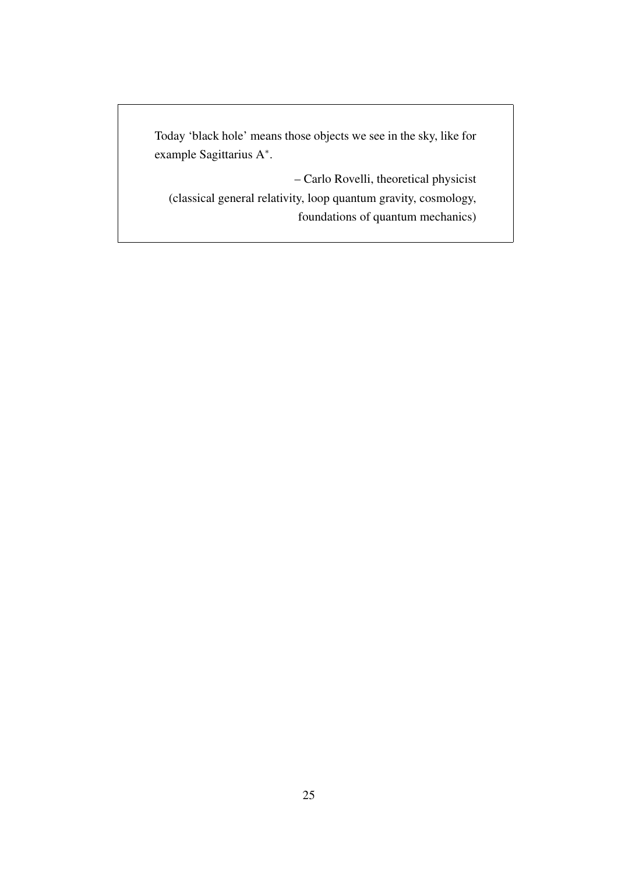Today 'black hole' means those objects we see in the sky, like for example Sagittarius A<sup>∗</sup> .

– Carlo Rovelli, theoretical physicist (classical general relativity, loop quantum gravity, cosmology, foundations of quantum mechanics)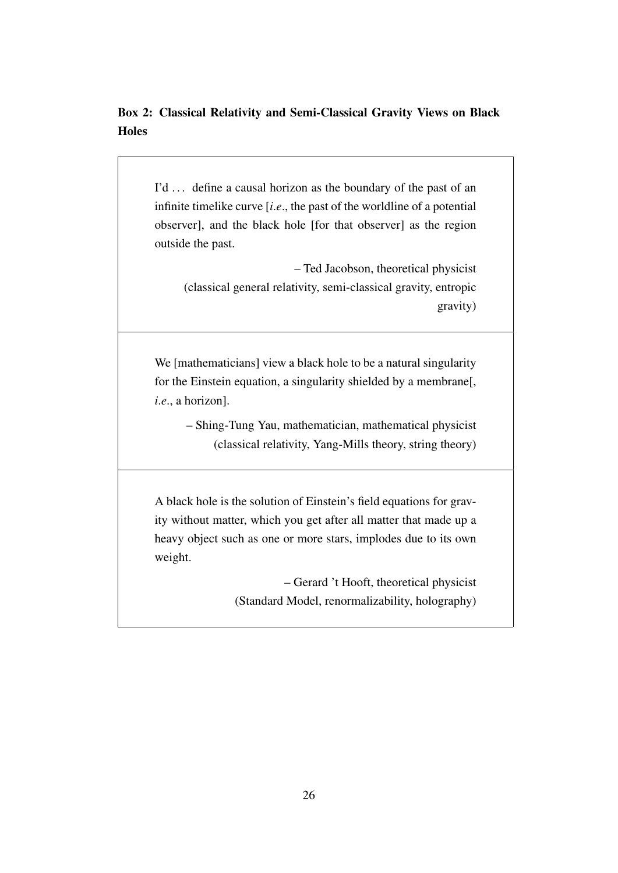## Box 2: Classical Relativity and Semi-Classical Gravity Views on Black **Holes**

I'd ... define a causal horizon as the boundary of the past of an infinite timelike curve [*i*.*e*., the past of the worldline of a potential observer], and the black hole [for that observer] as the region outside the past.

– Ted Jacobson, theoretical physicist (classical general relativity, semi-classical gravity, entropic gravity)

We [mathematicians] view a black hole to be a natural singularity for the Einstein equation, a singularity shielded by a membrane[, *i*.*e*., a horizon].

– Shing-Tung Yau, mathematician, mathematical physicist (classical relativity, Yang-Mills theory, string theory)

A black hole is the solution of Einstein's field equations for gravity without matter, which you get after all matter that made up a heavy object such as one or more stars, implodes due to its own weight.

> – Gerard 't Hooft, theoretical physicist (Standard Model, renormalizability, holography)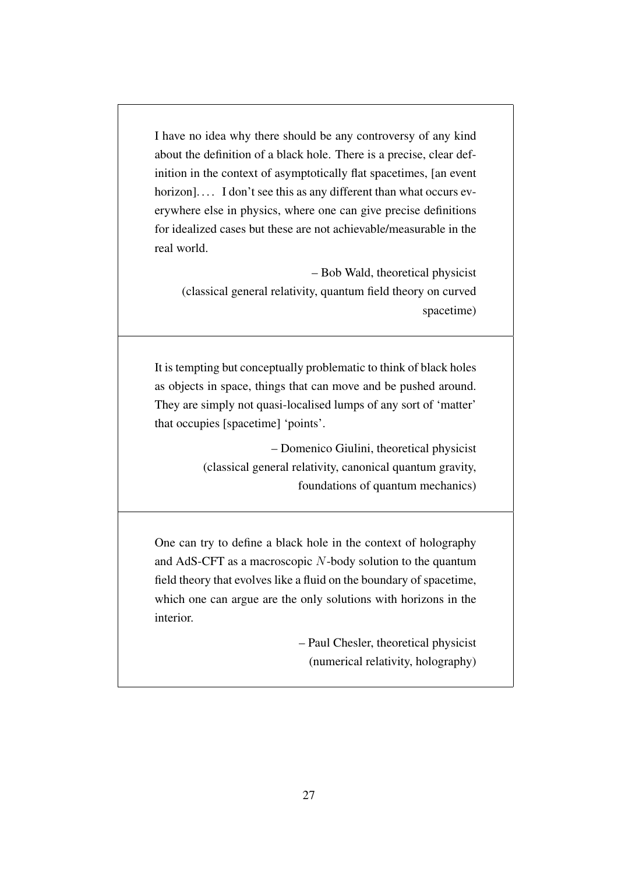I have no idea why there should be any controversy of any kind about the definition of a black hole. There is a precise, clear definition in the context of asymptotically flat spacetimes, [an event horizon].... I don't see this as any different than what occurs everywhere else in physics, where one can give precise definitions for idealized cases but these are not achievable/measurable in the real world.

– Bob Wald, theoretical physicist (classical general relativity, quantum field theory on curved spacetime)

It is tempting but conceptually problematic to think of black holes as objects in space, things that can move and be pushed around. They are simply not quasi-localised lumps of any sort of 'matter' that occupies [spacetime] 'points'.

> – Domenico Giulini, theoretical physicist (classical general relativity, canonical quantum gravity, foundations of quantum mechanics)

One can try to define a black hole in the context of holography and AdS-CFT as a macroscopic N-body solution to the quantum field theory that evolves like a fluid on the boundary of spacetime, which one can argue are the only solutions with horizons in the interior.

> – Paul Chesler, theoretical physicist (numerical relativity, holography)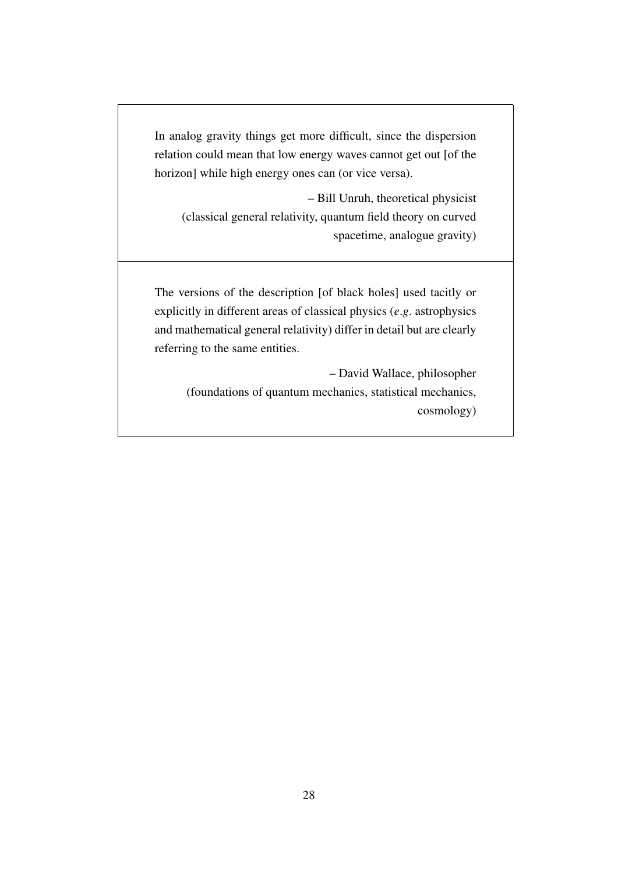In analog gravity things get more difficult, since the dispersion relation could mean that low energy waves cannot get out [of the horizon] while high energy ones can (or vice versa).

– Bill Unruh, theoretical physicist (classical general relativity, quantum field theory on curved spacetime, analogue gravity)

The versions of the description [of black holes] used tacitly or explicitly in different areas of classical physics (*e*.*g*. astrophysics and mathematical general relativity) differ in detail but are clearly referring to the same entities.

> – David Wallace, philosopher (foundations of quantum mechanics, statistical mechanics, cosmology)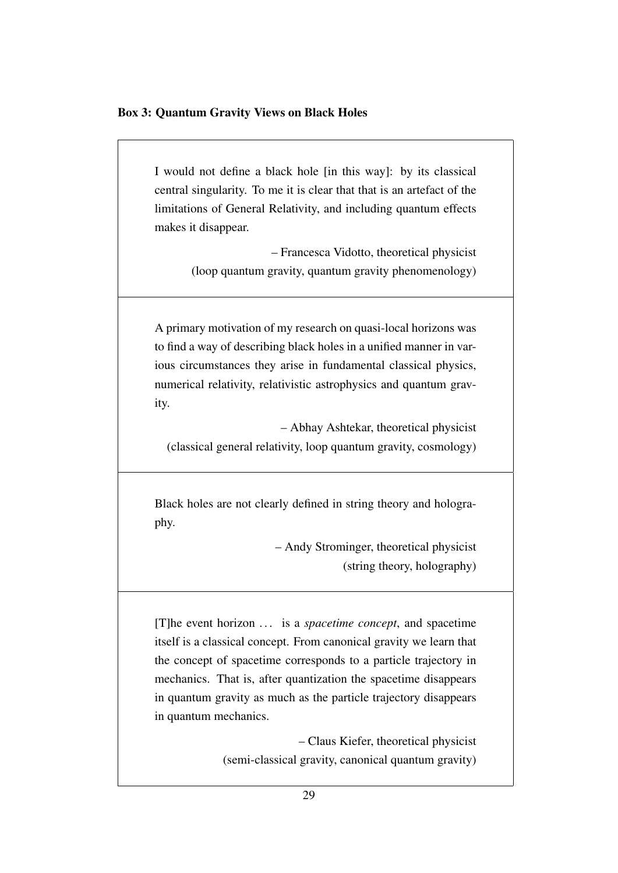#### Box 3: Quantum Gravity Views on Black Holes

I would not define a black hole [in this way]: by its classical central singularity. To me it is clear that that is an artefact of the limitations of General Relativity, and including quantum effects makes it disappear.

> – Francesca Vidotto, theoretical physicist (loop quantum gravity, quantum gravity phenomenology)

A primary motivation of my research on quasi-local horizons was to find a way of describing black holes in a unified manner in various circumstances they arise in fundamental classical physics, numerical relativity, relativistic astrophysics and quantum gravity.

– Abhay Ashtekar, theoretical physicist (classical general relativity, loop quantum gravity, cosmology)

Black holes are not clearly defined in string theory and holography.

> – Andy Strominger, theoretical physicist (string theory, holography)

[T]he event horizon . . . is a *spacetime concept*, and spacetime itself is a classical concept. From canonical gravity we learn that the concept of spacetime corresponds to a particle trajectory in mechanics. That is, after quantization the spacetime disappears in quantum gravity as much as the particle trajectory disappears in quantum mechanics.

> – Claus Kiefer, theoretical physicist (semi-classical gravity, canonical quantum gravity)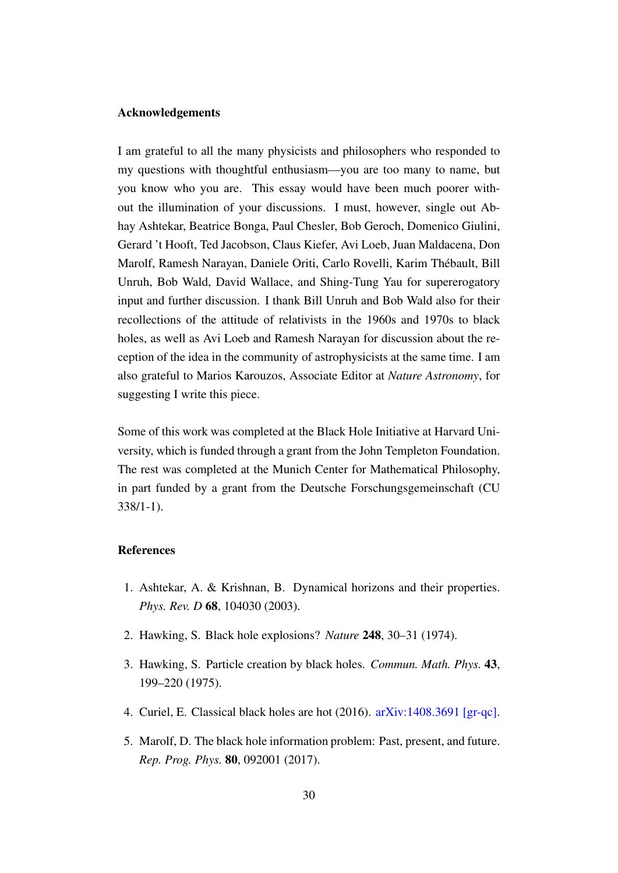#### Acknowledgements

I am grateful to all the many physicists and philosophers who responded to my questions with thoughtful enthusiasm—you are too many to name, but you know who you are. This essay would have been much poorer without the illumination of your discussions. I must, however, single out Abhay Ashtekar, Beatrice Bonga, Paul Chesler, Bob Geroch, Domenico Giulini, Gerard 't Hooft, Ted Jacobson, Claus Kiefer, Avi Loeb, Juan Maldacena, Don Marolf, Ramesh Narayan, Daniele Oriti, Carlo Rovelli, Karim Thébault, Bill Unruh, Bob Wald, David Wallace, and Shing-Tung Yau for supererogatory input and further discussion. I thank Bill Unruh and Bob Wald also for their recollections of the attitude of relativists in the 1960s and 1970s to black holes, as well as Avi Loeb and Ramesh Narayan for discussion about the reception of the idea in the community of astrophysicists at the same time. I am also grateful to Marios Karouzos, Associate Editor at *Nature Astronomy*, for suggesting I write this piece.

Some of this work was completed at the Black Hole Initiative at Harvard University, which is funded through a grant from the John Templeton Foundation. The rest was completed at the Munich Center for Mathematical Philosophy, in part funded by a grant from the Deutsche Forschungsgemeinschaft (CU 338/1-1).

### References

- <span id="page-29-0"></span>1. Ashtekar, A. & Krishnan, B. Dynamical horizons and their properties. *Phys. Rev. D* 68, 104030 (2003).
- <span id="page-29-1"></span>2. Hawking, S. Black hole explosions? *Nature* 248, 30–31 (1974).
- <span id="page-29-2"></span>3. Hawking, S. Particle creation by black holes. *Commun. Math. Phys.* 43, 199–220 (1975).
- <span id="page-29-3"></span>4. Curiel, E. Classical black holes are hot (2016). [arXiv:1408.3691 \[gr-qc\].](http://arxiv.org/abs/1408.3691)
- <span id="page-29-4"></span>5. Marolf, D. The black hole information problem: Past, present, and future. *Rep. Prog. Phys.* 80, 092001 (2017).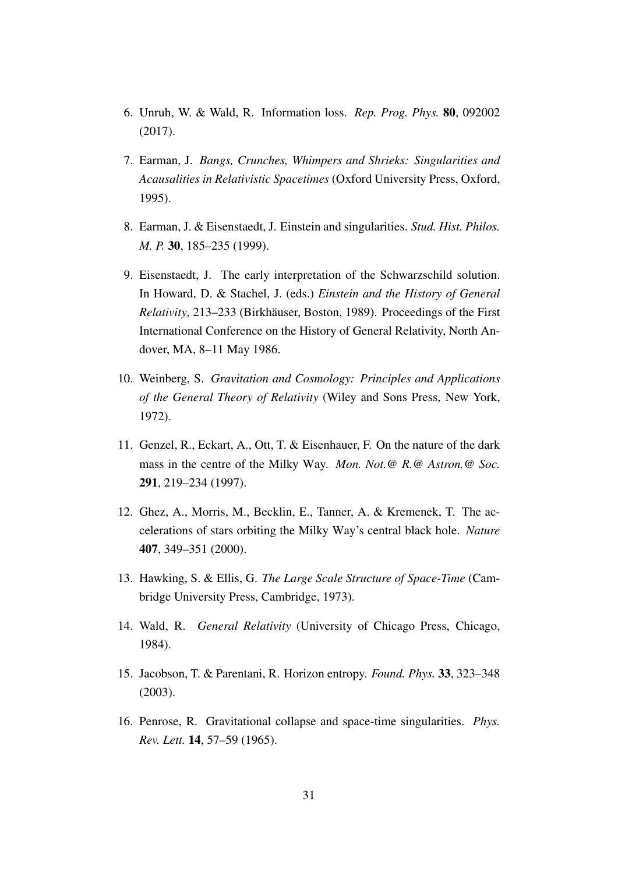- <span id="page-30-0"></span>6. Unruh, W. & Wald, R. Information loss. *Rep. Prog. Phys.* 80, 092002 (2017).
- <span id="page-30-1"></span>7. Earman, J. *Bangs, Crunches, Whimpers and Shrieks: Singularities and Acausalities in Relativistic Spacetimes* (Oxford University Press, Oxford, 1995).
- <span id="page-30-2"></span>8. Earman, J. & Eisenstaedt, J. Einstein and singularities. *Stud. Hist. Philos. M. P.* 30, 185–235 (1999).
- <span id="page-30-3"></span>9. Eisenstaedt, J. The early interpretation of the Schwarzschild solution. In Howard, D. & Stachel, J. (eds.) *Einstein and the History of General Relativity*, 213–233 (Birkhäuser, Boston, 1989). Proceedings of the First International Conference on the History of General Relativity, North Andover, MA, 8–11 May 1986.
- <span id="page-30-4"></span>10. Weinberg, S. *Gravitation and Cosmology: Principles and Applications of the General Theory of Relativity* (Wiley and Sons Press, New York, 1972).
- <span id="page-30-5"></span>11. Genzel, R., Eckart, A., Ott, T. & Eisenhauer, F. On the nature of the dark mass in the centre of the Milky Way. *Mon. Not.@ R.@ Astron.@ Soc.* 291, 219–234 (1997).
- <span id="page-30-6"></span>12. Ghez, A., Morris, M., Becklin, E., Tanner, A. & Kremenek, T. The accelerations of stars orbiting the Milky Way's central black hole. *Nature* 407, 349–351 (2000).
- <span id="page-30-7"></span>13. Hawking, S. & Ellis, G. *The Large Scale Structure of Space-Time* (Cambridge University Press, Cambridge, 1973).
- <span id="page-30-8"></span>14. Wald, R. *General Relativity* (University of Chicago Press, Chicago, 1984).
- <span id="page-30-9"></span>15. Jacobson, T. & Parentani, R. Horizon entropy. *Found. Phys.* 33, 323–348 (2003).
- <span id="page-30-10"></span>16. Penrose, R. Gravitational collapse and space-time singularities. *Phys. Rev. Lett.* 14, 57–59 (1965).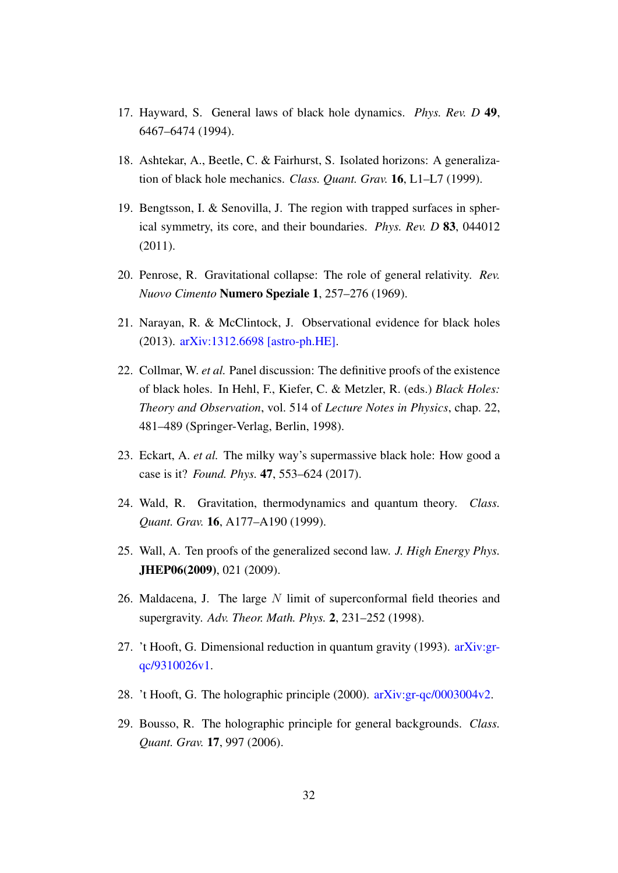- <span id="page-31-0"></span>17. Hayward, S. General laws of black hole dynamics. *Phys. Rev. D* 49, 6467–6474 (1994).
- <span id="page-31-1"></span>18. Ashtekar, A., Beetle, C. & Fairhurst, S. Isolated horizons: A generalization of black hole mechanics. *Class. Quant. Grav.* 16, L1–L7 (1999).
- <span id="page-31-2"></span>19. Bengtsson, I. & Senovilla, J. The region with trapped surfaces in spherical symmetry, its core, and their boundaries. *Phys. Rev. D* 83, 044012 (2011).
- <span id="page-31-3"></span>20. Penrose, R. Gravitational collapse: The role of general relativity. *Rev. Nuovo Cimento* Numero Speziale 1, 257–276 (1969).
- <span id="page-31-4"></span>21. Narayan, R. & McClintock, J. Observational evidence for black holes (2013). [arXiv:1312.6698 \[astro-ph.HE\].](https://arxiv.org/abs/1312.6698)
- <span id="page-31-5"></span>22. Collmar, W. *et al.* Panel discussion: The definitive proofs of the existence of black holes. In Hehl, F., Kiefer, C. & Metzler, R. (eds.) *Black Holes: Theory and Observation*, vol. 514 of *Lecture Notes in Physics*, chap. 22, 481–489 (Springer-Verlag, Berlin, 1998).
- <span id="page-31-6"></span>23. Eckart, A. *et al.* The milky way's supermassive black hole: How good a case is it? *Found. Phys.* 47, 553–624 (2017).
- <span id="page-31-7"></span>24. Wald, R. Gravitation, thermodynamics and quantum theory. *Class. Quant. Grav.* 16, A177–A190 (1999).
- <span id="page-31-8"></span>25. Wall, A. Ten proofs of the generalized second law. *J. High Energy Phys.* JHEP06(2009), 021 (2009).
- <span id="page-31-9"></span>26. Maldacena, J. The large N limit of superconformal field theories and supergravity. *Adv. Theor. Math. Phys.* 2, 231–252 (1998).
- <span id="page-31-10"></span>27. 't Hooft, G. Dimensional reduction in quantum gravity (1993). [arXiv:gr](http://xxx.lanl.gov/abs/gr-qc/9310026)[qc/9310026v1.](http://xxx.lanl.gov/abs/gr-qc/9310026)
- 28. 't Hooft, G. The holographic principle (2000). [arXiv:gr-qc/0003004v2.](http://xxx.lanl.gov/abs/gr-qc/0003004)
- <span id="page-31-11"></span>29. Bousso, R. The holographic principle for general backgrounds. *Class. Quant. Grav.* 17, 997 (2006).